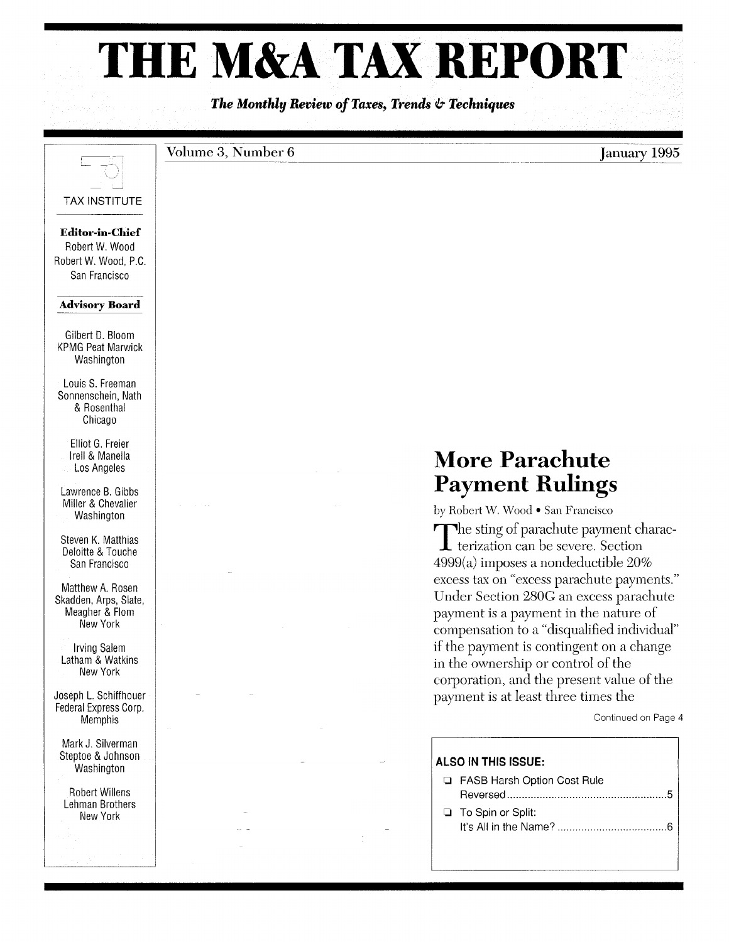# **THE M&A TAX REPORT**

*The Monthly Review of Taxes, Trends* **&** *Techniques* 



### $Volume 3, Number 6$

## **More Parachute Payment Rulings**

by Robert W. Wood • San Francisco The sting of parachute payment charac- $\blacktriangle$  terization can be severe. Section 4999(a) imposes a nondeductible 20% excess tax on "excess parachute payments." Under Section 280G an excess parachute payment is a payment in the nature of compensation to a "disqualified individual" if the payment is contingent on a change in the ownership or control of the corporation, and the present value of the payment is at least three times the

Continued on Page 4

**January** 1995

### **ALSO IN THIS ISSUE:**

- o FASB Harsh Option Cost Rule Reversed ...................................................... 5
- □ To Spin or Split: It's All in the Name? ..................................... 6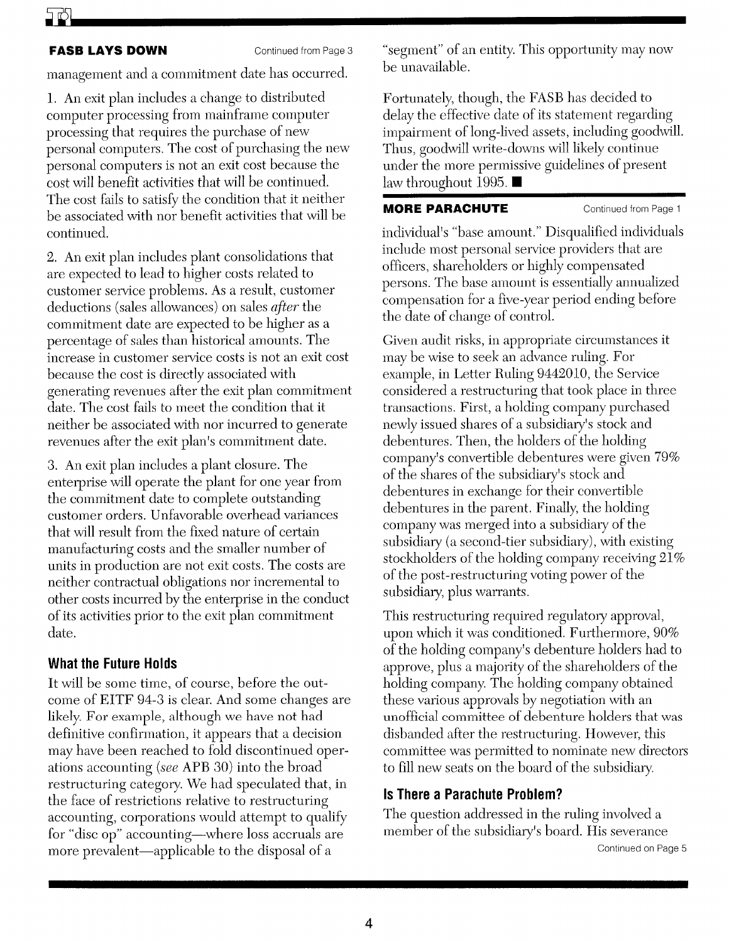### **FASB LAYS DOWN** Continued from Page 3

management and a commitment date has occurred.

1. An exit plan includes a change to distributed computer processing from mainframe computer processing that requires the purchase of new personal computers. The cost of purchasing the new personal computers is not an exit cost because the cost will benefit activities that will be continued. The cost fails to satisfy the condition that it neither be associated with nor benefit activities that will be continued.

2. An exit plan includes plant consolidations that are expected to lead to higher costs related to customer service problems. As a result, customer deductions (sales allowances) on sales *after* the commitment date are expected to be higher as a percentage of sales than historical amounts. The increase in customer service costs is not an exit cost because the cost is directly associated with generating revenues after the exit plan commitment date. The cost fails to meet the condition that it neither be associated with nor incurred to generate revenues after the exit plan's commitment date.

3. An exit plan includes a plant closure. The enterprise will operate the plant for one year from the commitment date to complete outstanding customer orders. Unfavorable overhead variances that will result from the fixed nature of certain manufacturing costs and the smaller number of units in production are not exit costs. The costs are neither contractual obligations nor incremental to other costs incurred by the enterprise in the conduct of its activities prior to the exit plan commitment date.

### **What the Future Holds**

It will be some time, of course, before the outcome of EITF 94-3 is clear. And some changes are likely. For example, although we have not had definitive confirmation, it appears that a decision may have been reached to fold discontinued operations accounting *(see* APB 30) into the broad restructuring category. We had speculated that, in the face of restrictions relative to restructuring accounting, corporations would attempt to qualify for "disc op" accounting-where loss accruals are more prevalent-applicable to the disposal of a

"segment" of an entity. This opportunity may now be unavailable.

Fortunately, though, the FASB has decided to delay the effective date of its statement regarding impairment of long-lived assets, including goodwill. Thus, goodwill write-downs will likely continue under the more permissive guidelines of present law throughout 1995.  $\blacksquare$ 

### **MORE PARACHUTE** Continued from Page 1

individual's "base amount." Disqualified individuals include most personal service providers that are officers, shareholders or highly compensated persons. The base amount is essentially annualized compensation for a five-year period ending before the date of change of control.

Given audit risks, in appropriate circumstances it may be wise to seek an advance ruling. For example, in Letter Ruling 9442010, the Service considered a restructuring that took place in three transactions. First, a holding company purchased newly issued shares of a subsidiary's stock and debentures. Then, the holders of the holding company's convertible debentures were given 79% of the shares of the subsidiary's stock and debentures in exchange for their convertible debentures in the parent. Finally, the holding company was merged into a subsidiary of the subsidiary (a second-tier subsidiary), with existing stockholders of the holding company receiving  $21\%$ of the post-restructuring voting power of the subsidiary, plus warrants.

This restructuring required regulatory approval, upon which it was conditioned. Furthermore, 90% of the holding company's debenture holders had to approve, plus a majority of the shareholders of the holding company. The holding company obtained these various approvals by negotiation with an unofficial committee of debenture holders that was disbanded after the restructuring. However, this committee was permitted to nominate new directors to fill new seats on the board of the subsidimy.

### **Is There a Parachute Problem?**

The question addressed in the ruling involved a member of the subsidiary's board. His severance Continued on Page 5